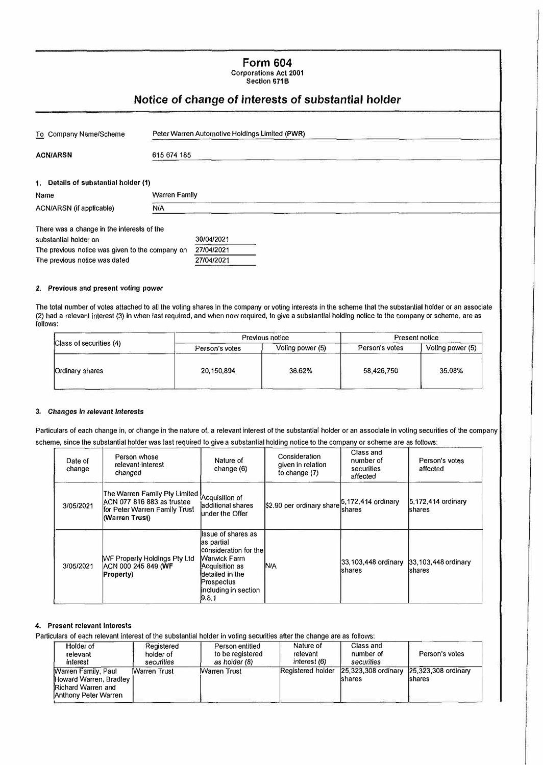#### **Form 604**  Corporations Act 2001 Section 671B

# **Notice of change of interests of substantial holder**

| To Company Name/Scheme                          |                      | Peter Warren Automotive Holdings Limited (PWR) |  |
|-------------------------------------------------|----------------------|------------------------------------------------|--|
| <b>ACN/ARSN</b>                                 | 615 674 185          |                                                |  |
| 1. Details of substantial holder (1)            |                      |                                                |  |
| Name                                            | <b>Warren Family</b> |                                                |  |
| ACN/ARSN (if applicable)                        | <b>N/A</b>           |                                                |  |
| There was a change in the interests of the      |                      |                                                |  |
| substantial holder on                           |                      | 30/04/2021                                     |  |
| The previous notice was given to the company on |                      | 27/04/2021                                     |  |
| The previous notice was dated                   |                      | 27/04/2021                                     |  |

#### **2.** Previous and present voting power

The total number of votes attached to all the voting shares in the company or voting interests in the scheme that the substantial holder or an associate (2) had a relevant interest (3) in when last required, and when now required, to give a substantial holding notice to the company or scheme, are as follows:

|                         |                | Previous notice  | <b>Present notice</b>        |                  |  |
|-------------------------|----------------|------------------|------------------------------|------------------|--|
| Class of securities (4) | Person's votes | Voting power (5) | Person's votes<br>58,426,756 | Voting power (5) |  |
| Ordinary shares         | 20,150,894     | 36.62%           |                              | 35.08%           |  |

#### **3.** *Changes* In relevant *Interests*

Particulars of each change in, or change in the nature of, a relevant interest of the substantial holder or an associate in voting securities of the company scheme, since the substantial holder was last required lo give a substantial holding notice to the company or scheme are as follows:

| Date of<br>change | Person whose<br>relevant interest<br>changed                                                                                  | Nature of<br>change (6)                                                                                                                                            | Consideration<br>given in relation<br>to change (7) | Class and<br>number of<br>securities<br>affected | Person's votes<br>affected     |
|-------------------|-------------------------------------------------------------------------------------------------------------------------------|--------------------------------------------------------------------------------------------------------------------------------------------------------------------|-----------------------------------------------------|--------------------------------------------------|--------------------------------|
| 3/05/2021         | The Warren Family Ply Limited Acquisition of<br>ACN 077 816 883 as trustee<br>for Peter Warren Family Trust<br>(Warren Trust) | ladditional shares<br>lunder the Offer                                                                                                                             | \$2.90 per ordinary share 5,172,414 ordinary        | Ishares                                          | 5,172,414 ordinary<br>Ishares  |
| 3/05/2021         | WF Property Holdings Pty Ltd<br>ACN 000 245 849 (WF<br><b>Property</b> )                                                      | llssue of shares as<br>las partial<br>consideration for thel<br>Warwick Farm<br>Acquisition as<br>ldetailed in the<br>Prospectus<br>including in section<br>19.8.1 | N/A                                                 | 33,103,448 ordinary<br><b>shares</b>             | 33,103,448 ordinary<br>Ishares |

### **4.** Present relevant Interests

Particulars of each relevant interest of the substantial holder in voting securities after the change are as follows:

| <b>Holder of</b>                                                                            | Registered          | Person entitled     | Nature of         | Class and                             | Person's votes                 |
|---------------------------------------------------------------------------------------------|---------------------|---------------------|-------------------|---------------------------------------|--------------------------------|
| relevant                                                                                    | holder of           | to be registered    | relevant          | number of                             |                                |
| interest                                                                                    | securities          | as holder $(8)$     | interest $(6)$    | securities                            |                                |
| Warren Family, Paul<br>Howard Warren, Bradley<br>Richard Warren and<br>Anthony Peter Warren | <b>Marren Trust</b> | <b>Warren Trust</b> | Registered holder | 25,323,308 ordinary<br><b>Ishares</b> | 25,323,308 ordinary<br>Ishares |